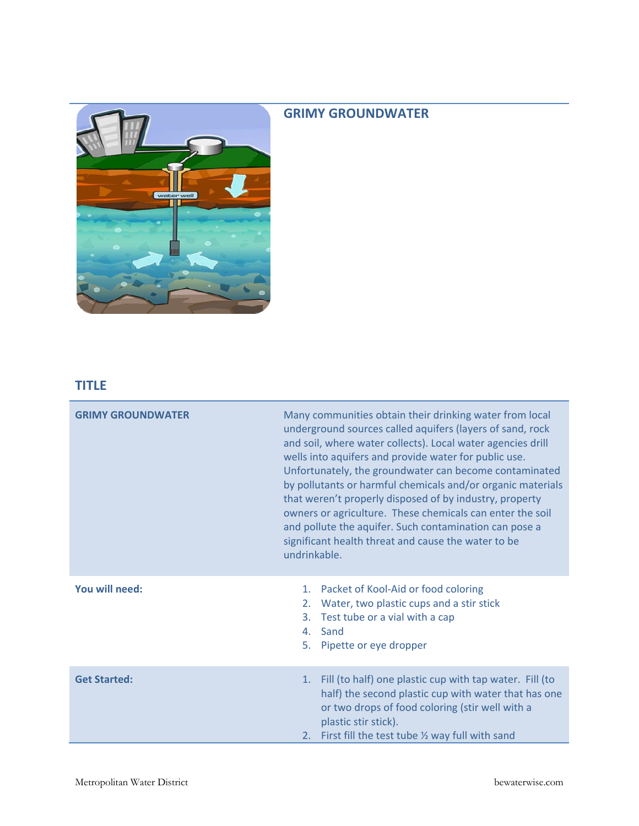## **GRIMY GROUNDWATER**



## **TITLE**

| <b>GRIMY GROUNDWATER</b> | Many communities obtain their drinking water from local<br>underground sources called aquifers (layers of sand, rock<br>and soil, where water collects). Local water agencies drill<br>wells into aquifers and provide water for public use.<br>Unfortunately, the groundwater can become contaminated<br>by pollutants or harmful chemicals and/or organic materials<br>that weren't properly disposed of by industry, property<br>owners or agriculture. These chemicals can enter the soil<br>and pollute the aquifer. Such contamination can pose a<br>significant health threat and cause the water to be<br>undrinkable. |                                                                                                                                                                                                                                                               |
|--------------------------|--------------------------------------------------------------------------------------------------------------------------------------------------------------------------------------------------------------------------------------------------------------------------------------------------------------------------------------------------------------------------------------------------------------------------------------------------------------------------------------------------------------------------------------------------------------------------------------------------------------------------------|---------------------------------------------------------------------------------------------------------------------------------------------------------------------------------------------------------------------------------------------------------------|
| You will need:           | 5.                                                                                                                                                                                                                                                                                                                                                                                                                                                                                                                                                                                                                             | 1. Packet of Kool-Aid or food coloring<br>2. Water, two plastic cups and a stir stick<br>3. Test tube or a vial with a cap<br>4. Sand<br>Pipette or eye dropper                                                                                               |
| <b>Get Started:</b>      |                                                                                                                                                                                                                                                                                                                                                                                                                                                                                                                                                                                                                                | 1. Fill (to half) one plastic cup with tap water. Fill (to<br>half) the second plastic cup with water that has one<br>or two drops of food coloring (stir well with a<br>plastic stir stick).<br>2. First fill the test tube $\frac{1}{2}$ way full with sand |